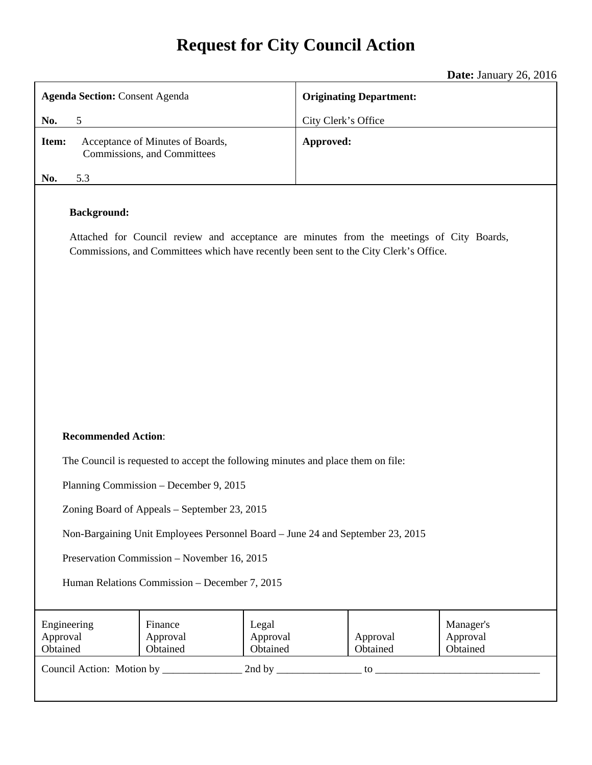# **Request for City Council Action**

Τ

**Date:** January 26, 2016

| <b>Agenda Section: Consent Agenda</b>         |                                                                                                                                                                                   | <b>Originating Department:</b> |           |                      |                                   |
|-----------------------------------------------|-----------------------------------------------------------------------------------------------------------------------------------------------------------------------------------|--------------------------------|-----------|----------------------|-----------------------------------|
| No.<br>5                                      |                                                                                                                                                                                   | City Clerk's Office            |           |                      |                                   |
| Item:                                         | Acceptance of Minutes of Boards,<br>Commissions, and Committees                                                                                                                   |                                | Approved: |                      |                                   |
| 5.3<br>No.                                    |                                                                                                                                                                                   |                                |           |                      |                                   |
| <b>Background:</b>                            | Attached for Council review and acceptance are minutes from the meetings of City Boards,<br>Commissions, and Committees which have recently been sent to the City Clerk's Office. |                                |           |                      |                                   |
| <b>Recommended Action:</b>                    |                                                                                                                                                                                   |                                |           |                      |                                   |
|                                               | The Council is requested to accept the following minutes and place them on file:                                                                                                  |                                |           |                      |                                   |
|                                               | Planning Commission - December 9, 2015                                                                                                                                            |                                |           |                      |                                   |
|                                               | Zoning Board of Appeals - September 23, 2015                                                                                                                                      |                                |           |                      |                                   |
|                                               | Non-Bargaining Unit Employees Personnel Board – June 24 and September 23, 2015                                                                                                    |                                |           |                      |                                   |
| Preservation Commission - November 16, 2015   |                                                                                                                                                                                   |                                |           |                      |                                   |
| Human Relations Commission - December 7, 2015 |                                                                                                                                                                                   |                                |           |                      |                                   |
| Engineering<br>Approval<br>Obtained           | Finance<br>Approval<br>Obtained                                                                                                                                                   | Legal<br>Approval<br>Obtained  |           | Approval<br>Obtained | Manager's<br>Approval<br>Obtained |
|                                               |                                                                                                                                                                                   |                                |           |                      |                                   |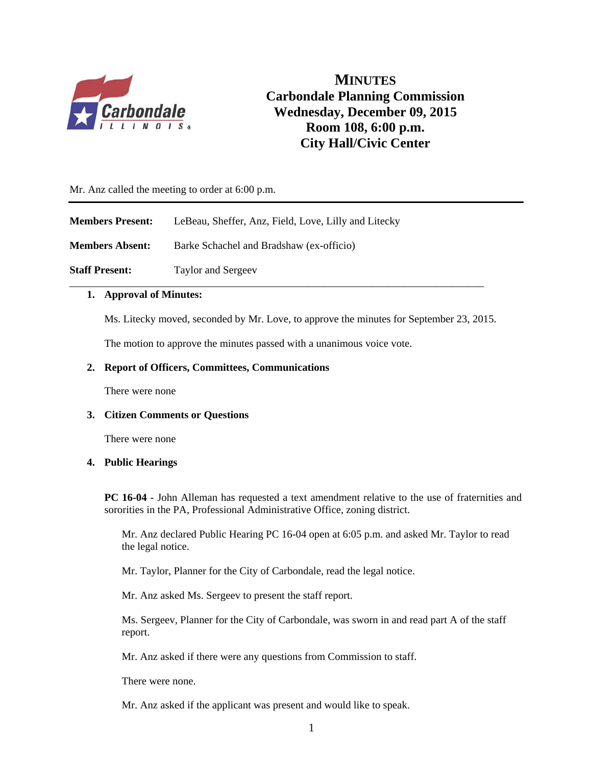

**MINUTES Carbondale Planning Commission Wednesday, December 09, 2015 Room 108, 6:00 p.m. City Hall/Civic Center**

Mr. Anz called the meeting to order at 6:00 p.m.

| LeBeau, Sheffer, Anz, Field, Love, Lilly and Litecky |
|------------------------------------------------------|

**Members Absent:** Barke Schachel and Bradshaw (ex-officio)

**Staff Present:** Taylor and Sergeev

#### **1. Approval of Minutes:**

Ms. Litecky moved, seconded by Mr. Love, to approve the minutes for September 23, 2015.

\_\_\_\_\_\_\_\_\_\_\_\_\_\_\_\_\_\_\_\_\_\_\_\_\_\_\_\_\_\_\_\_\_\_\_\_\_\_\_\_\_\_\_\_\_\_\_\_\_\_\_\_\_\_\_\_\_\_\_\_\_\_\_\_\_\_\_\_\_\_\_\_\_\_\_\_\_\_

The motion to approve the minutes passed with a unanimous voice vote.

#### **2. Report of Officers, Committees, Communications**

There were none

#### **3. Citizen Comments or Questions**

There were none

#### **4. Public Hearings**

**PC 16-04** - John Alleman has requested a text amendment relative to the use of fraternities and sororities in the PA, Professional Administrative Office, zoning district.

Mr. Anz declared Public Hearing PC 16-04 open at 6:05 p.m. and asked Mr. Taylor to read the legal notice.

Mr. Taylor, Planner for the City of Carbondale, read the legal notice.

Mr. Anz asked Ms. Sergeev to present the staff report.

Ms. Sergeev, Planner for the City of Carbondale, was sworn in and read part A of the staff report.

Mr. Anz asked if there were any questions from Commission to staff.

There were none.

Mr. Anz asked if the applicant was present and would like to speak.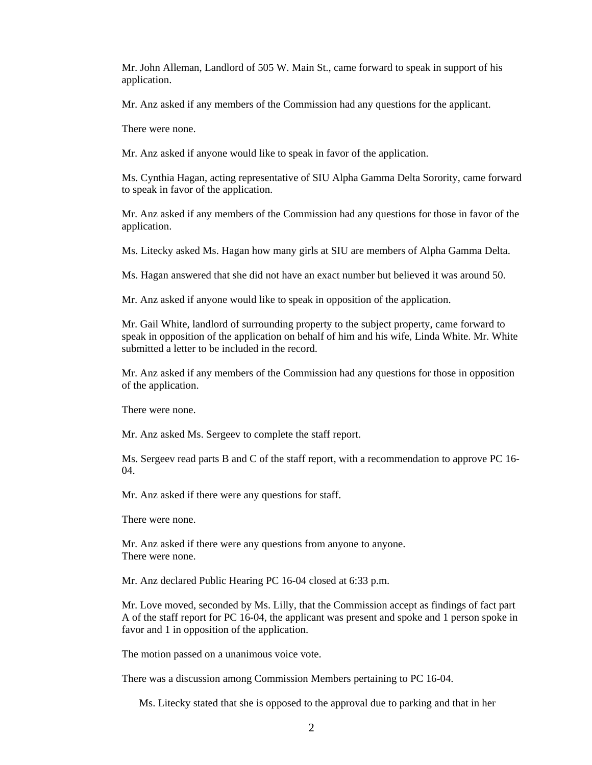Mr. John Alleman, Landlord of 505 W. Main St., came forward to speak in support of his application.

Mr. Anz asked if any members of the Commission had any questions for the applicant.

There were none.

Mr. Anz asked if anyone would like to speak in favor of the application.

Ms. Cynthia Hagan, acting representative of SIU Alpha Gamma Delta Sorority, came forward to speak in favor of the application.

Mr. Anz asked if any members of the Commission had any questions for those in favor of the application.

Ms. Litecky asked Ms. Hagan how many girls at SIU are members of Alpha Gamma Delta.

Ms. Hagan answered that she did not have an exact number but believed it was around 50.

Mr. Anz asked if anyone would like to speak in opposition of the application.

Mr. Gail White, landlord of surrounding property to the subject property, came forward to speak in opposition of the application on behalf of him and his wife, Linda White. Mr. White submitted a letter to be included in the record.

Mr. Anz asked if any members of the Commission had any questions for those in opposition of the application.

There were none.

Mr. Anz asked Ms. Sergeev to complete the staff report.

Ms. Sergeev read parts B and C of the staff report, with a recommendation to approve PC 16- 04.

Mr. Anz asked if there were any questions for staff.

There were none.

Mr. Anz asked if there were any questions from anyone to anyone. There were none.

Mr. Anz declared Public Hearing PC 16-04 closed at 6:33 p.m.

Mr. Love moved, seconded by Ms. Lilly, that the Commission accept as findings of fact part A of the staff report for PC 16-04, the applicant was present and spoke and 1 person spoke in favor and 1 in opposition of the application.

The motion passed on a unanimous voice vote.

There was a discussion among Commission Members pertaining to PC 16-04.

Ms. Litecky stated that she is opposed to the approval due to parking and that in her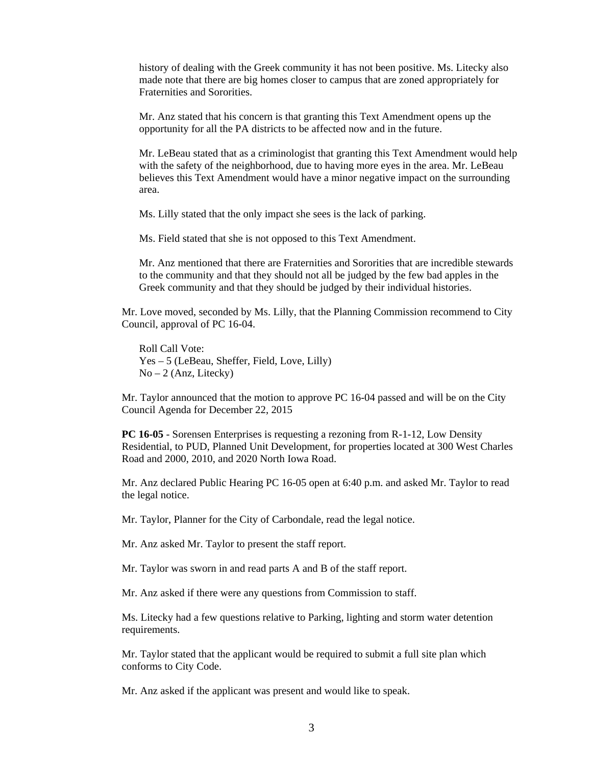history of dealing with the Greek community it has not been positive. Ms. Litecky also made note that there are big homes closer to campus that are zoned appropriately for Fraternities and Sororities.

Mr. Anz stated that his concern is that granting this Text Amendment opens up the opportunity for all the PA districts to be affected now and in the future.

Mr. LeBeau stated that as a criminologist that granting this Text Amendment would help with the safety of the neighborhood, due to having more eyes in the area. Mr. LeBeau believes this Text Amendment would have a minor negative impact on the surrounding area.

Ms. Lilly stated that the only impact she sees is the lack of parking.

Ms. Field stated that she is not opposed to this Text Amendment.

Mr. Anz mentioned that there are Fraternities and Sororities that are incredible stewards to the community and that they should not all be judged by the few bad apples in the Greek community and that they should be judged by their individual histories.

Mr. Love moved, seconded by Ms. Lilly, that the Planning Commission recommend to City Council, approval of PC 16-04.

Roll Call Vote: Yes – 5 (LeBeau, Sheffer, Field, Love, Lilly)  $No-2 (Anz, Litecky)$ 

Mr. Taylor announced that the motion to approve PC 16-04 passed and will be on the City Council Agenda for December 22, 2015

**PC 16-05** - Sorensen Enterprises is requesting a rezoning from R-1-12, Low Density Residential, to PUD, Planned Unit Development, for properties located at 300 West Charles Road and 2000, 2010, and 2020 North Iowa Road.

Mr. Anz declared Public Hearing PC 16-05 open at 6:40 p.m. and asked Mr. Taylor to read the legal notice.

Mr. Taylor, Planner for the City of Carbondale, read the legal notice.

Mr. Anz asked Mr. Taylor to present the staff report.

Mr. Taylor was sworn in and read parts A and B of the staff report.

Mr. Anz asked if there were any questions from Commission to staff.

Ms. Litecky had a few questions relative to Parking, lighting and storm water detention requirements.

Mr. Taylor stated that the applicant would be required to submit a full site plan which conforms to City Code.

Mr. Anz asked if the applicant was present and would like to speak.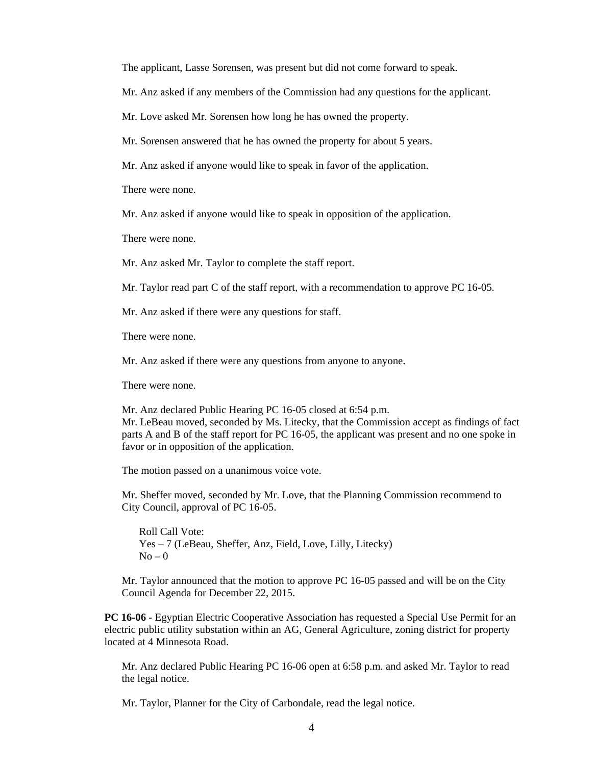The applicant, Lasse Sorensen, was present but did not come forward to speak.

Mr. Anz asked if any members of the Commission had any questions for the applicant.

Mr. Love asked Mr. Sorensen how long he has owned the property.

Mr. Sorensen answered that he has owned the property for about 5 years.

Mr. Anz asked if anyone would like to speak in favor of the application.

There were none.

Mr. Anz asked if anyone would like to speak in opposition of the application.

There were none.

Mr. Anz asked Mr. Taylor to complete the staff report.

Mr. Taylor read part C of the staff report, with a recommendation to approve PC 16-05.

Mr. Anz asked if there were any questions for staff.

There were none.

Mr. Anz asked if there were any questions from anyone to anyone.

There were none.

Mr. Anz declared Public Hearing PC 16-05 closed at 6:54 p.m. Mr. LeBeau moved, seconded by Ms. Litecky, that the Commission accept as findings of fact parts A and B of the staff report for PC 16-05, the applicant was present and no one spoke in favor or in opposition of the application.

The motion passed on a unanimous voice vote.

Mr. Sheffer moved, seconded by Mr. Love, that the Planning Commission recommend to City Council, approval of PC 16-05.

Roll Call Vote: Yes – 7 (LeBeau, Sheffer, Anz, Field, Love, Lilly, Litecky)  $No - 0$ 

Mr. Taylor announced that the motion to approve PC 16-05 passed and will be on the City Council Agenda for December 22, 2015.

**PC 16-06** - Egyptian Electric Cooperative Association has requested a Special Use Permit for an electric public utility substation within an AG, General Agriculture, zoning district for property located at 4 Minnesota Road.

Mr. Anz declared Public Hearing PC 16-06 open at 6:58 p.m. and asked Mr. Taylor to read the legal notice.

Mr. Taylor, Planner for the City of Carbondale, read the legal notice.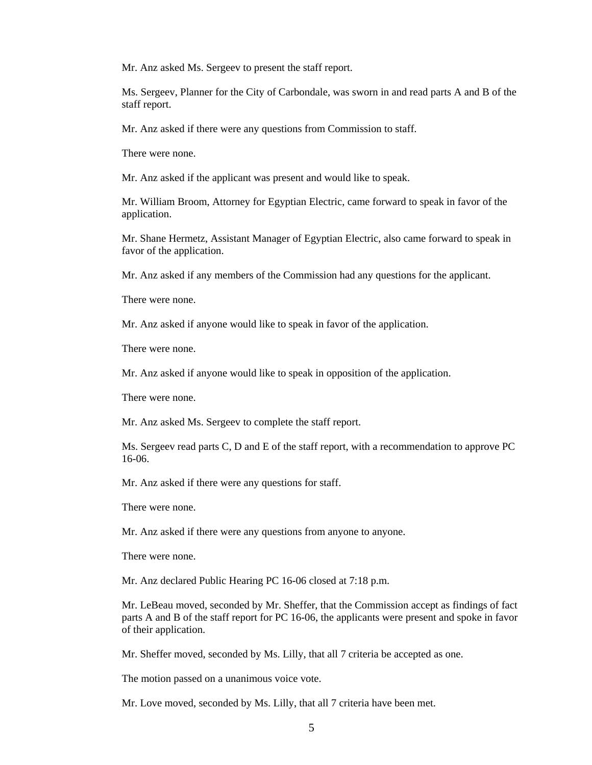Mr. Anz asked Ms. Sergeev to present the staff report.

Ms. Sergeev, Planner for the City of Carbondale, was sworn in and read parts A and B of the staff report.

Mr. Anz asked if there were any questions from Commission to staff.

There were none.

Mr. Anz asked if the applicant was present and would like to speak.

Mr. William Broom, Attorney for Egyptian Electric, came forward to speak in favor of the application.

Mr. Shane Hermetz, Assistant Manager of Egyptian Electric, also came forward to speak in favor of the application.

Mr. Anz asked if any members of the Commission had any questions for the applicant.

There were none.

Mr. Anz asked if anyone would like to speak in favor of the application.

There were none.

Mr. Anz asked if anyone would like to speak in opposition of the application.

There were none.

Mr. Anz asked Ms. Sergeev to complete the staff report.

Ms. Sergeev read parts C, D and E of the staff report, with a recommendation to approve PC 16-06.

Mr. Anz asked if there were any questions for staff.

There were none.

Mr. Anz asked if there were any questions from anyone to anyone.

There were none.

Mr. Anz declared Public Hearing PC 16-06 closed at 7:18 p.m.

Mr. LeBeau moved, seconded by Mr. Sheffer, that the Commission accept as findings of fact parts A and B of the staff report for PC 16-06, the applicants were present and spoke in favor of their application.

Mr. Sheffer moved, seconded by Ms. Lilly, that all 7 criteria be accepted as one.

The motion passed on a unanimous voice vote.

Mr. Love moved, seconded by Ms. Lilly, that all 7 criteria have been met.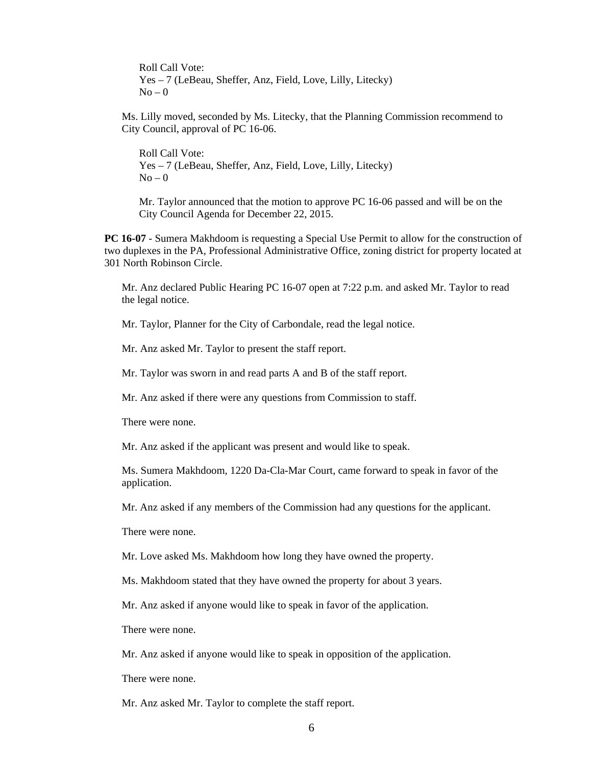Roll Call Vote: Yes – 7 (LeBeau, Sheffer, Anz, Field, Love, Lilly, Litecky)  $No - 0$ 

Ms. Lilly moved, seconded by Ms. Litecky, that the Planning Commission recommend to City Council, approval of PC 16-06.

Roll Call Vote: Yes – 7 (LeBeau, Sheffer, Anz, Field, Love, Lilly, Litecky)  $No - 0$ 

Mr. Taylor announced that the motion to approve PC 16-06 passed and will be on the City Council Agenda for December 22, 2015.

**PC 16-07** - Sumera Makhdoom is requesting a Special Use Permit to allow for the construction of two duplexes in the PA, Professional Administrative Office, zoning district for property located at 301 North Robinson Circle.

Mr. Anz declared Public Hearing PC 16-07 open at 7:22 p.m. and asked Mr. Taylor to read the legal notice.

Mr. Taylor, Planner for the City of Carbondale, read the legal notice.

Mr. Anz asked Mr. Taylor to present the staff report.

Mr. Taylor was sworn in and read parts A and B of the staff report.

Mr. Anz asked if there were any questions from Commission to staff.

There were none.

Mr. Anz asked if the applicant was present and would like to speak.

Ms. Sumera Makhdoom, 1220 Da-Cla-Mar Court, came forward to speak in favor of the application.

Mr. Anz asked if any members of the Commission had any questions for the applicant.

There were none.

Mr. Love asked Ms. Makhdoom how long they have owned the property.

Ms. Makhdoom stated that they have owned the property for about 3 years.

Mr. Anz asked if anyone would like to speak in favor of the application.

There were none.

Mr. Anz asked if anyone would like to speak in opposition of the application.

There were none.

Mr. Anz asked Mr. Taylor to complete the staff report.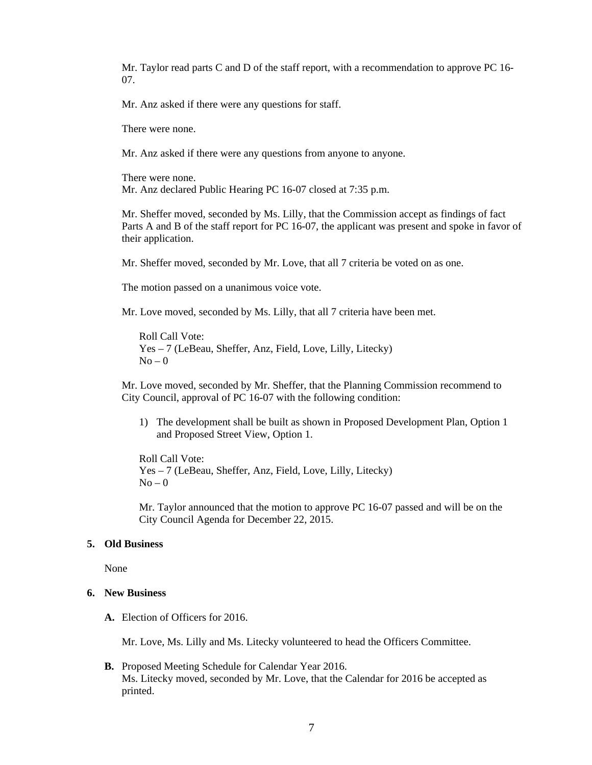Mr. Taylor read parts C and D of the staff report, with a recommendation to approve PC 16- 07.

Mr. Anz asked if there were any questions for staff.

There were none.

Mr. Anz asked if there were any questions from anyone to anyone.

There were none. Mr. Anz declared Public Hearing PC 16-07 closed at 7:35 p.m.

Mr. Sheffer moved, seconded by Ms. Lilly, that the Commission accept as findings of fact Parts A and B of the staff report for PC 16-07, the applicant was present and spoke in favor of their application.

Mr. Sheffer moved, seconded by Mr. Love, that all 7 criteria be voted on as one.

The motion passed on a unanimous voice vote.

Mr. Love moved, seconded by Ms. Lilly, that all 7 criteria have been met.

Roll Call Vote: Yes – 7 (LeBeau, Sheffer, Anz, Field, Love, Lilly, Litecky)  $No - 0$ 

Mr. Love moved, seconded by Mr. Sheffer, that the Planning Commission recommend to City Council, approval of PC 16-07 with the following condition:

1) The development shall be built as shown in Proposed Development Plan, Option 1 and Proposed Street View, Option 1.

Roll Call Vote: Yes – 7 (LeBeau, Sheffer, Anz, Field, Love, Lilly, Litecky)  $No - 0$ 

Mr. Taylor announced that the motion to approve PC 16-07 passed and will be on the City Council Agenda for December 22, 2015.

#### **5. Old Business**

None

#### **6. New Business**

**A.** Election of Officers for 2016.

Mr. Love, Ms. Lilly and Ms. Litecky volunteered to head the Officers Committee.

**B.** Proposed Meeting Schedule for Calendar Year 2016. Ms. Litecky moved, seconded by Mr. Love, that the Calendar for 2016 be accepted as printed.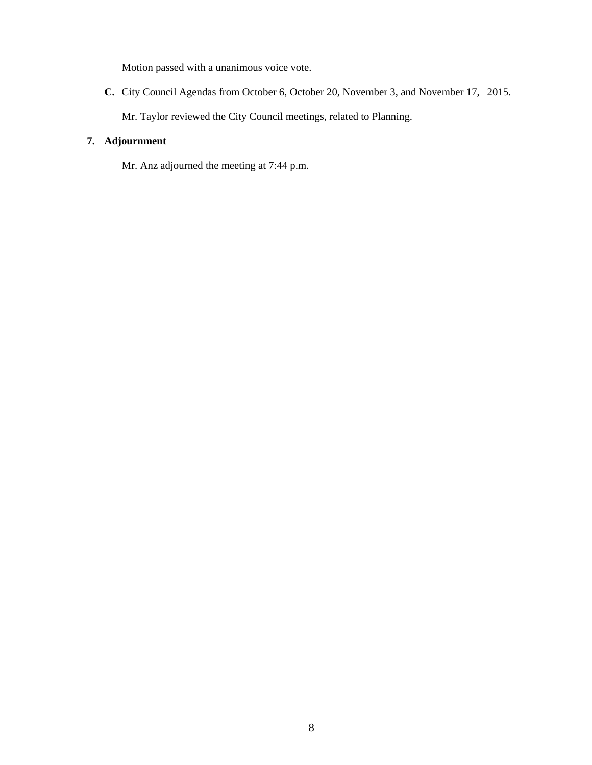Motion passed with a unanimous voice vote.

**C.** City Council Agendas from October 6, October 20, November 3, and November 17, 2015.

Mr. Taylor reviewed the City Council meetings, related to Planning.

### **7. Adjournment**

Mr. Anz adjourned the meeting at 7:44 p.m.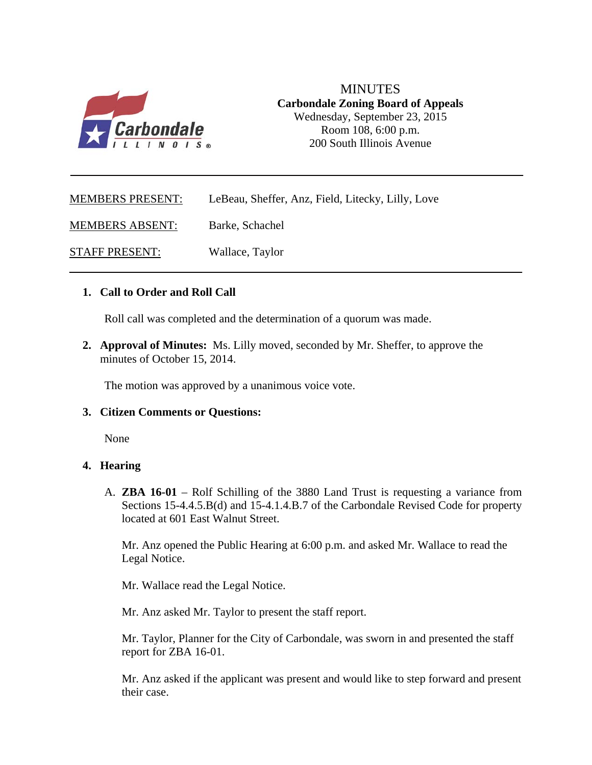

| <b>MEMBERS PRESENT:</b> | LeBeau, Sheffer, Anz, Field, Litecky, Lilly, Love |
|-------------------------|---------------------------------------------------|
| <b>MEMBERS ABSENT:</b>  | Barke, Schachel                                   |
| <b>STAFF PRESENT:</b>   | Wallace, Taylor                                   |

### **1. Call to Order and Roll Call**

Roll call was completed and the determination of a quorum was made.

**2. Approval of Minutes:** Ms. Lilly moved, seconded by Mr. Sheffer, to approve the minutes of October 15, 2014.

The motion was approved by a unanimous voice vote.

#### **3. Citizen Comments or Questions:**

None

#### **4. Hearing**

A. **ZBA 16-01** – Rolf Schilling of the 3880 Land Trust is requesting a variance from Sections 15-4.4.5.B(d) and 15-4.1.4.B.7 of the Carbondale Revised Code for property located at 601 East Walnut Street.

Mr. Anz opened the Public Hearing at 6:00 p.m. and asked Mr. Wallace to read the Legal Notice.

Mr. Wallace read the Legal Notice.

Mr. Anz asked Mr. Taylor to present the staff report.

Mr. Taylor, Planner for the City of Carbondale, was sworn in and presented the staff report for ZBA 16-01.

Mr. Anz asked if the applicant was present and would like to step forward and present their case.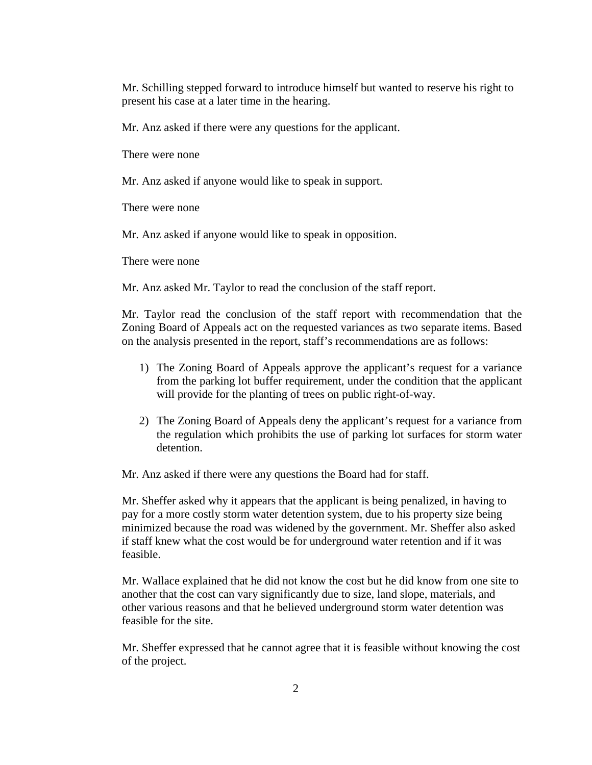Mr. Schilling stepped forward to introduce himself but wanted to reserve his right to present his case at a later time in the hearing.

Mr. Anz asked if there were any questions for the applicant.

There were none

Mr. Anz asked if anyone would like to speak in support.

There were none

Mr. Anz asked if anyone would like to speak in opposition.

There were none

Mr. Anz asked Mr. Taylor to read the conclusion of the staff report.

Mr. Taylor read the conclusion of the staff report with recommendation that the Zoning Board of Appeals act on the requested variances as two separate items. Based on the analysis presented in the report, staff's recommendations are as follows:

- 1) The Zoning Board of Appeals approve the applicant's request for a variance from the parking lot buffer requirement, under the condition that the applicant will provide for the planting of trees on public right-of-way.
- 2) The Zoning Board of Appeals deny the applicant's request for a variance from the regulation which prohibits the use of parking lot surfaces for storm water detention.

Mr. Anz asked if there were any questions the Board had for staff.

Mr. Sheffer asked why it appears that the applicant is being penalized, in having to pay for a more costly storm water detention system, due to his property size being minimized because the road was widened by the government. Mr. Sheffer also asked if staff knew what the cost would be for underground water retention and if it was feasible.

Mr. Wallace explained that he did not know the cost but he did know from one site to another that the cost can vary significantly due to size, land slope, materials, and other various reasons and that he believed underground storm water detention was feasible for the site.

Mr. Sheffer expressed that he cannot agree that it is feasible without knowing the cost of the project.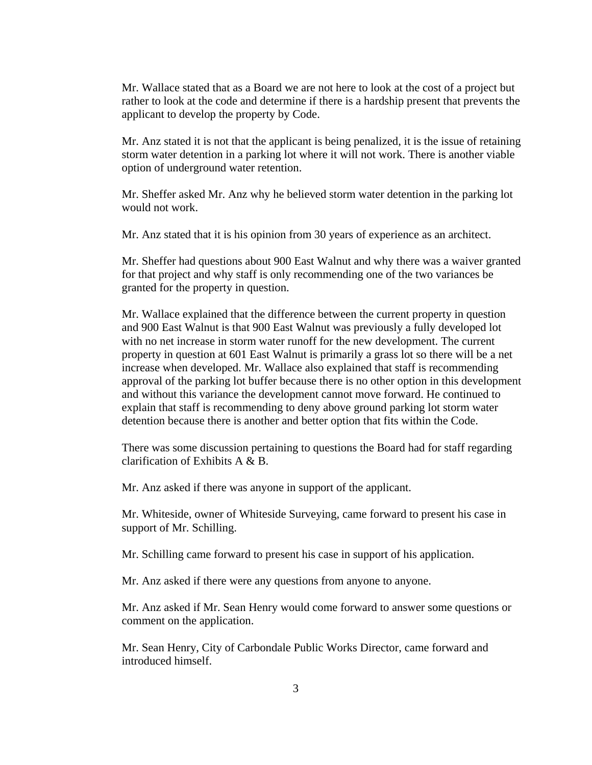Mr. Wallace stated that as a Board we are not here to look at the cost of a project but rather to look at the code and determine if there is a hardship present that prevents the applicant to develop the property by Code.

Mr. Anz stated it is not that the applicant is being penalized, it is the issue of retaining storm water detention in a parking lot where it will not work. There is another viable option of underground water retention.

Mr. Sheffer asked Mr. Anz why he believed storm water detention in the parking lot would not work.

Mr. Anz stated that it is his opinion from 30 years of experience as an architect.

Mr. Sheffer had questions about 900 East Walnut and why there was a waiver granted for that project and why staff is only recommending one of the two variances be granted for the property in question.

Mr. Wallace explained that the difference between the current property in question and 900 East Walnut is that 900 East Walnut was previously a fully developed lot with no net increase in storm water runoff for the new development. The current property in question at 601 East Walnut is primarily a grass lot so there will be a net increase when developed. Mr. Wallace also explained that staff is recommending approval of the parking lot buffer because there is no other option in this development and without this variance the development cannot move forward. He continued to explain that staff is recommending to deny above ground parking lot storm water detention because there is another and better option that fits within the Code.

There was some discussion pertaining to questions the Board had for staff regarding clarification of Exhibits A & B.

Mr. Anz asked if there was anyone in support of the applicant.

Mr. Whiteside, owner of Whiteside Surveying, came forward to present his case in support of Mr. Schilling.

Mr. Schilling came forward to present his case in support of his application.

Mr. Anz asked if there were any questions from anyone to anyone.

Mr. Anz asked if Mr. Sean Henry would come forward to answer some questions or comment on the application.

Mr. Sean Henry, City of Carbondale Public Works Director, came forward and introduced himself.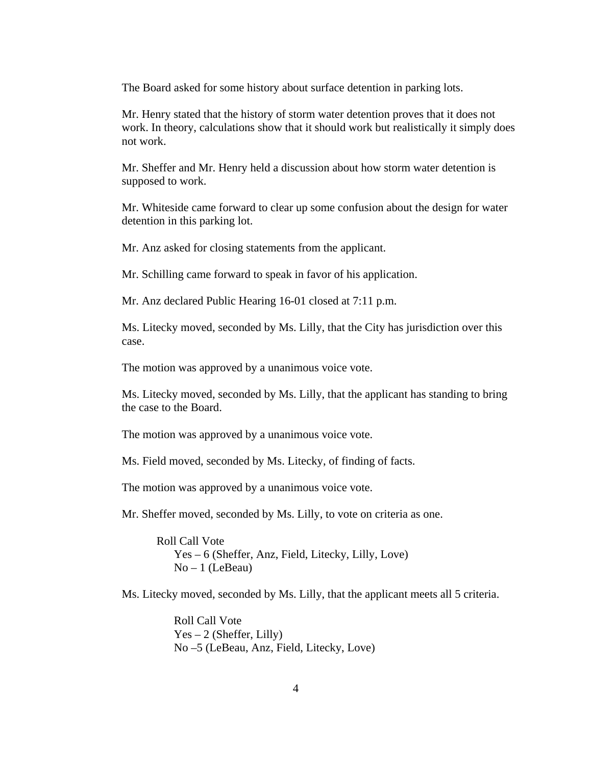The Board asked for some history about surface detention in parking lots.

Mr. Henry stated that the history of storm water detention proves that it does not work. In theory, calculations show that it should work but realistically it simply does not work.

Mr. Sheffer and Mr. Henry held a discussion about how storm water detention is supposed to work.

Mr. Whiteside came forward to clear up some confusion about the design for water detention in this parking lot.

Mr. Anz asked for closing statements from the applicant.

Mr. Schilling came forward to speak in favor of his application.

Mr. Anz declared Public Hearing 16-01 closed at 7:11 p.m.

Ms. Litecky moved, seconded by Ms. Lilly, that the City has jurisdiction over this case.

The motion was approved by a unanimous voice vote.

Ms. Litecky moved, seconded by Ms. Lilly, that the applicant has standing to bring the case to the Board.

The motion was approved by a unanimous voice vote.

Ms. Field moved, seconded by Ms. Litecky, of finding of facts.

The motion was approved by a unanimous voice vote.

Mr. Sheffer moved, seconded by Ms. Lilly, to vote on criteria as one.

Roll Call Vote Yes – 6 (Sheffer, Anz, Field, Litecky, Lilly, Love)  $No-1$  (LeBeau)

Ms. Litecky moved, seconded by Ms. Lilly, that the applicant meets all 5 criteria.

 Roll Call Vote  $Yes - 2 (Sheffer, Lilly)$ No –5 (LeBeau, Anz, Field, Litecky, Love)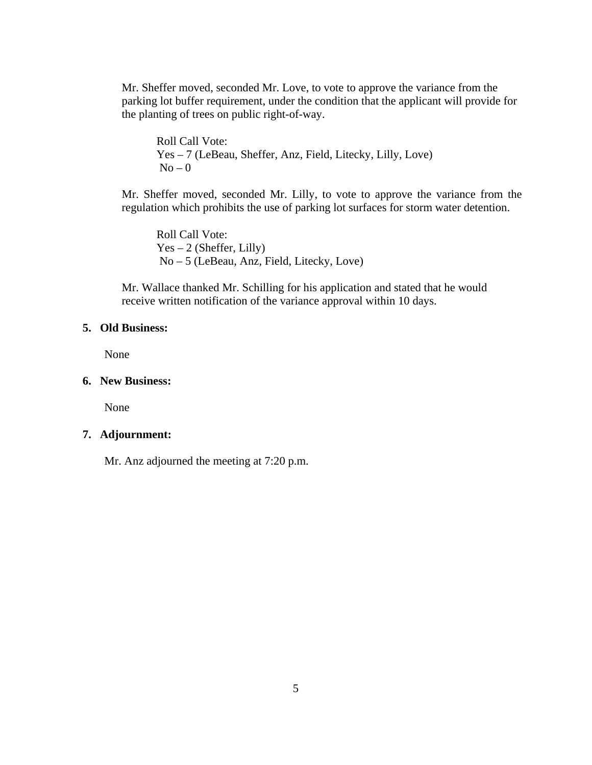Mr. Sheffer moved, seconded Mr. Love, to vote to approve the variance from the parking lot buffer requirement, under the condition that the applicant will provide for the planting of trees on public right-of-way.

Roll Call Vote: Yes – 7 (LeBeau, Sheffer, Anz, Field, Litecky, Lilly, Love)  $No - 0$ 

Mr. Sheffer moved, seconded Mr. Lilly, to vote to approve the variance from the regulation which prohibits the use of parking lot surfaces for storm water detention.

Roll Call Vote: Yes – 2 (Sheffer, Lilly) No – 5 (LeBeau, Anz, Field, Litecky, Love)

Mr. Wallace thanked Mr. Schilling for his application and stated that he would receive written notification of the variance approval within 10 days.

#### **5. Old Business:**

None

#### **6. New Business:**

None

#### **7. Adjournment:**

Mr. Anz adjourned the meeting at 7:20 p.m.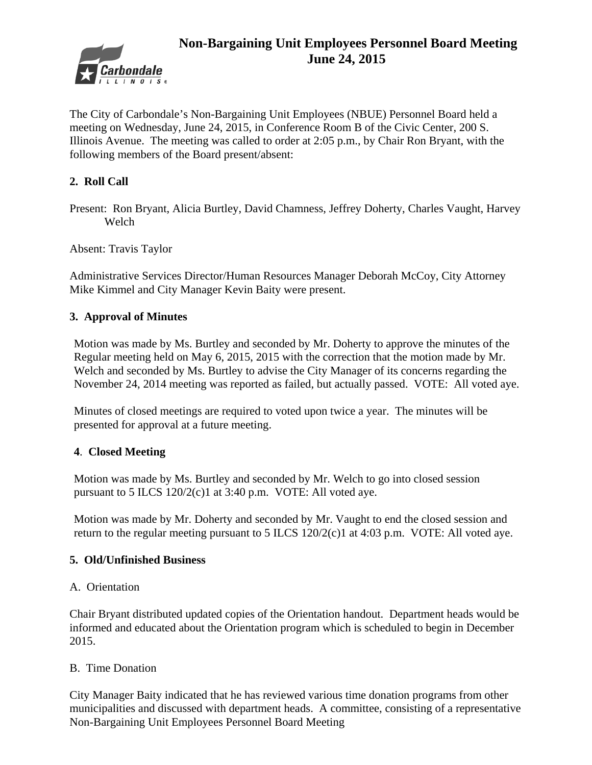

The City of Carbondale's Non-Bargaining Unit Employees (NBUE) Personnel Board held a meeting on Wednesday, June 24, 2015, in Conference Room B of the Civic Center, 200 S. Illinois Avenue. The meeting was called to order at 2:05 p.m., by Chair Ron Bryant, with the following members of the Board present/absent:

### **2. Roll Call**

Present: Ron Bryant, Alicia Burtley, David Chamness, Jeffrey Doherty, Charles Vaught, Harvey Welch

Absent: Travis Taylor

Administrative Services Director/Human Resources Manager Deborah McCoy, City Attorney Mike Kimmel and City Manager Kevin Baity were present.

### **3. Approval of Minutes**

Motion was made by Ms. Burtley and seconded by Mr. Doherty to approve the minutes of the Regular meeting held on May 6, 2015, 2015 with the correction that the motion made by Mr. Welch and seconded by Ms. Burtley to advise the City Manager of its concerns regarding the November 24, 2014 meeting was reported as failed, but actually passed. VOTE: All voted aye.

Minutes of closed meetings are required to voted upon twice a year. The minutes will be presented for approval at a future meeting.

### **4**. **Closed Meeting**

Motion was made by Ms. Burtley and seconded by Mr. Welch to go into closed session pursuant to 5 ILCS  $120/2(c)1$  at 3:40 p.m. VOTE: All voted aye.

Motion was made by Mr. Doherty and seconded by Mr. Vaught to end the closed session and return to the regular meeting pursuant to 5 ILCS 120/2(c)1 at 4:03 p.m. VOTE: All voted aye.

#### **5. Old/Unfinished Business**

#### A. Orientation

Chair Bryant distributed updated copies of the Orientation handout. Department heads would be informed and educated about the Orientation program which is scheduled to begin in December 2015.

#### B. Time Donation

City Manager Baity indicated that he has reviewed various time donation programs from other municipalities and discussed with department heads. A committee, consisting of a representative Non-Bargaining Unit Employees Personnel Board Meeting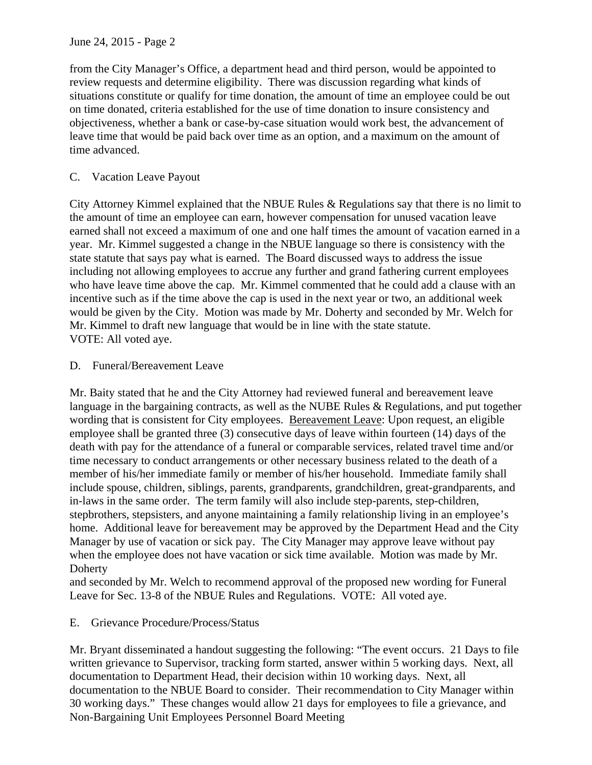from the City Manager's Office, a department head and third person, would be appointed to review requests and determine eligibility. There was discussion regarding what kinds of situations constitute or qualify for time donation, the amount of time an employee could be out on time donated, criteria established for the use of time donation to insure consistency and objectiveness, whether a bank or case-by-case situation would work best, the advancement of leave time that would be paid back over time as an option, and a maximum on the amount of time advanced.

### C. Vacation Leave Payout

City Attorney Kimmel explained that the NBUE Rules & Regulations say that there is no limit to the amount of time an employee can earn, however compensation for unused vacation leave earned shall not exceed a maximum of one and one half times the amount of vacation earned in a year. Mr. Kimmel suggested a change in the NBUE language so there is consistency with the state statute that says pay what is earned. The Board discussed ways to address the issue including not allowing employees to accrue any further and grand fathering current employees who have leave time above the cap. Mr. Kimmel commented that he could add a clause with an incentive such as if the time above the cap is used in the next year or two, an additional week would be given by the City. Motion was made by Mr. Doherty and seconded by Mr. Welch for Mr. Kimmel to draft new language that would be in line with the state statute. VOTE: All voted aye.

### D. Funeral/Bereavement Leave

Mr. Baity stated that he and the City Attorney had reviewed funeral and bereavement leave language in the bargaining contracts, as well as the NUBE Rules & Regulations, and put together wording that is consistent for City employees. Bereavement Leave: Upon request, an eligible employee shall be granted three (3) consecutive days of leave within fourteen (14) days of the death with pay for the attendance of a funeral or comparable services, related travel time and/or time necessary to conduct arrangements or other necessary business related to the death of a member of his/her immediate family or member of his/her household. Immediate family shall include spouse, children, siblings, parents, grandparents, grandchildren, great-grandparents, and in-laws in the same order. The term family will also include step-parents, step-children, stepbrothers, stepsisters, and anyone maintaining a family relationship living in an employee's home. Additional leave for bereavement may be approved by the Department Head and the City Manager by use of vacation or sick pay. The City Manager may approve leave without pay when the employee does not have vacation or sick time available. Motion was made by Mr. Doherty

and seconded by Mr. Welch to recommend approval of the proposed new wording for Funeral Leave for Sec. 13-8 of the NBUE Rules and Regulations. VOTE: All voted aye.

### E. Grievance Procedure/Process/Status

Mr. Bryant disseminated a handout suggesting the following: "The event occurs. 21 Days to file written grievance to Supervisor, tracking form started, answer within 5 working days. Next, all documentation to Department Head, their decision within 10 working days. Next, all documentation to the NBUE Board to consider. Their recommendation to City Manager within 30 working days." These changes would allow 21 days for employees to file a grievance, and Non-Bargaining Unit Employees Personnel Board Meeting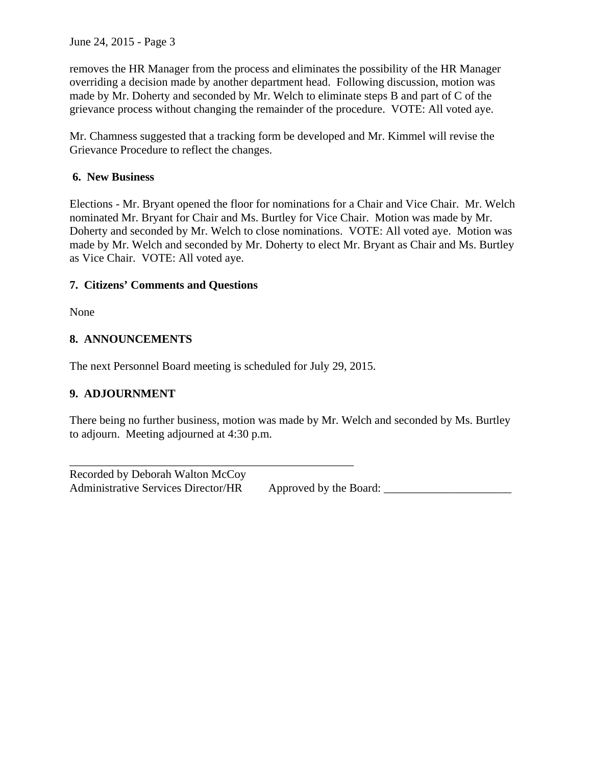June 24, 2015 - Page 3

removes the HR Manager from the process and eliminates the possibility of the HR Manager overriding a decision made by another department head. Following discussion, motion was made by Mr. Doherty and seconded by Mr. Welch to eliminate steps B and part of C of the grievance process without changing the remainder of the procedure. VOTE: All voted aye.

Mr. Chamness suggested that a tracking form be developed and Mr. Kimmel will revise the Grievance Procedure to reflect the changes.

#### **6. New Business**

Elections - Mr. Bryant opened the floor for nominations for a Chair and Vice Chair. Mr. Welch nominated Mr. Bryant for Chair and Ms. Burtley for Vice Chair. Motion was made by Mr. Doherty and seconded by Mr. Welch to close nominations. VOTE: All voted aye. Motion was made by Mr. Welch and seconded by Mr. Doherty to elect Mr. Bryant as Chair and Ms. Burtley as Vice Chair. VOTE: All voted aye.

#### **7. Citizens' Comments and Questions**

None

### **8. ANNOUNCEMENTS**

The next Personnel Board meeting is scheduled for July 29, 2015.

\_\_\_\_\_\_\_\_\_\_\_\_\_\_\_\_\_\_\_\_\_\_\_\_\_\_\_\_\_\_\_\_\_\_\_\_\_\_\_\_\_\_\_\_\_\_\_\_\_

#### **9. ADJOURNMENT**

There being no further business, motion was made by Mr. Welch and seconded by Ms. Burtley to adjourn. Meeting adjourned at 4:30 p.m.

| Recorded by Deborah Walton McCoy           |                        |
|--------------------------------------------|------------------------|
| <b>Administrative Services Director/HR</b> | Approved by the Board: |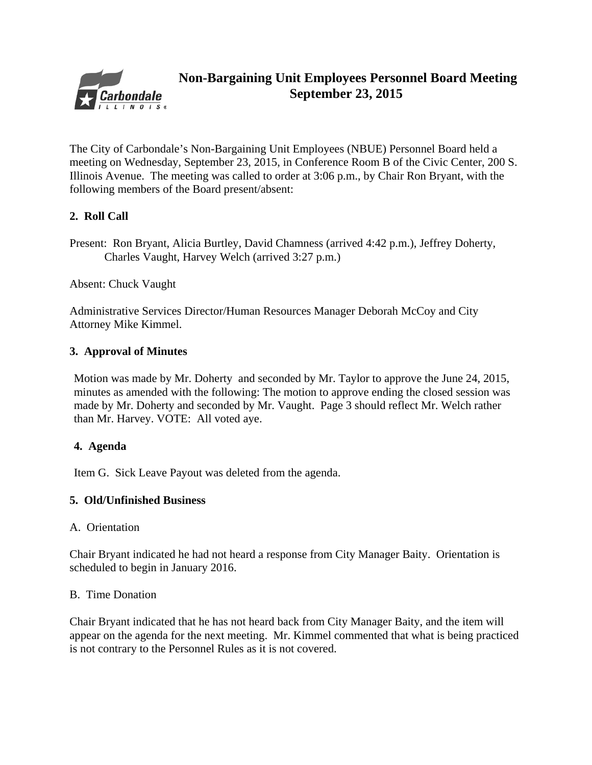

# **Non-Bargaining Unit Employees Personnel Board Meeting September 23, 2015**

The City of Carbondale's Non-Bargaining Unit Employees (NBUE) Personnel Board held a meeting on Wednesday, September 23, 2015, in Conference Room B of the Civic Center, 200 S. Illinois Avenue. The meeting was called to order at 3:06 p.m., by Chair Ron Bryant, with the following members of the Board present/absent:

### **2. Roll Call**

Present: Ron Bryant, Alicia Burtley, David Chamness (arrived 4:42 p.m.), Jeffrey Doherty, Charles Vaught, Harvey Welch (arrived 3:27 p.m.)

### Absent: Chuck Vaught

Administrative Services Director/Human Resources Manager Deborah McCoy and City Attorney Mike Kimmel.

### **3. Approval of Minutes**

Motion was made by Mr. Doherty and seconded by Mr. Taylor to approve the June 24, 2015, minutes as amended with the following: The motion to approve ending the closed session was made by Mr. Doherty and seconded by Mr. Vaught. Page 3 should reflect Mr. Welch rather than Mr. Harvey. VOTE: All voted aye.

### **4. Agenda**

Item G. Sick Leave Payout was deleted from the agenda.

### **5. Old/Unfinished Business**

### A. Orientation

Chair Bryant indicated he had not heard a response from City Manager Baity. Orientation is scheduled to begin in January 2016.

### B. Time Donation

Chair Bryant indicated that he has not heard back from City Manager Baity, and the item will appear on the agenda for the next meeting. Mr. Kimmel commented that what is being practiced is not contrary to the Personnel Rules as it is not covered.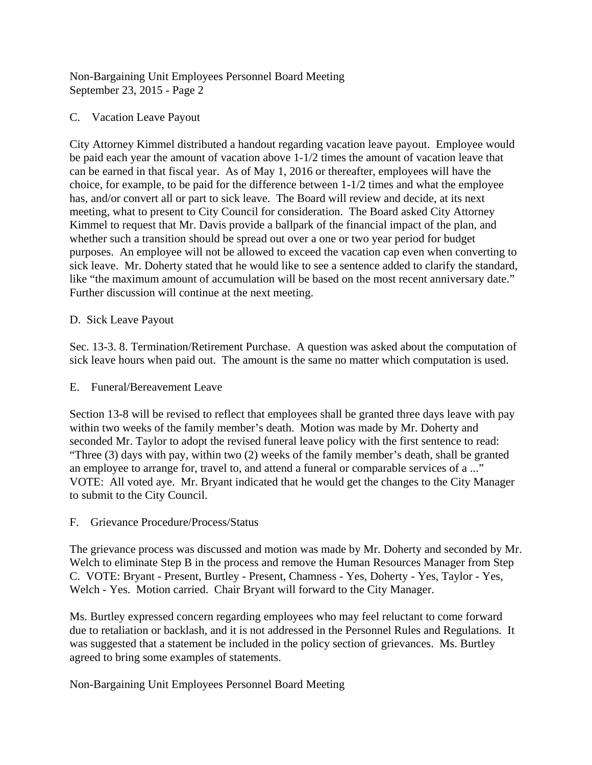Non-Bargaining Unit Employees Personnel Board Meeting September 23, 2015 - Page 2

#### C. Vacation Leave Payout

City Attorney Kimmel distributed a handout regarding vacation leave payout. Employee would be paid each year the amount of vacation above 1-1/2 times the amount of vacation leave that can be earned in that fiscal year. As of May 1, 2016 or thereafter, employees will have the choice, for example, to be paid for the difference between 1-1/2 times and what the employee has, and/or convert all or part to sick leave. The Board will review and decide, at its next meeting, what to present to City Council for consideration. The Board asked City Attorney Kimmel to request that Mr. Davis provide a ballpark of the financial impact of the plan, and whether such a transition should be spread out over a one or two year period for budget purposes. An employee will not be allowed to exceed the vacation cap even when converting to sick leave. Mr. Doherty stated that he would like to see a sentence added to clarify the standard, like "the maximum amount of accumulation will be based on the most recent anniversary date." Further discussion will continue at the next meeting.

#### D. Sick Leave Payout

Sec. 13-3. 8. Termination/Retirement Purchase. A question was asked about the computation of sick leave hours when paid out. The amount is the same no matter which computation is used.

#### E. Funeral/Bereavement Leave

Section 13-8 will be revised to reflect that employees shall be granted three days leave with pay within two weeks of the family member's death. Motion was made by Mr. Doherty and seconded Mr. Taylor to adopt the revised funeral leave policy with the first sentence to read: "Three (3) days with pay, within two (2) weeks of the family member's death, shall be granted an employee to arrange for, travel to, and attend a funeral or comparable services of a ..." VOTE: All voted aye. Mr. Bryant indicated that he would get the changes to the City Manager to submit to the City Council.

#### F. Grievance Procedure/Process/Status

The grievance process was discussed and motion was made by Mr. Doherty and seconded by Mr. Welch to eliminate Step B in the process and remove the Human Resources Manager from Step C. VOTE: Bryant - Present, Burtley - Present, Chamness - Yes, Doherty - Yes, Taylor - Yes, Welch - Yes. Motion carried. Chair Bryant will forward to the City Manager.

Ms. Burtley expressed concern regarding employees who may feel reluctant to come forward due to retaliation or backlash, and it is not addressed in the Personnel Rules and Regulations. It was suggested that a statement be included in the policy section of grievances. Ms. Burtley agreed to bring some examples of statements.

### Non-Bargaining Unit Employees Personnel Board Meeting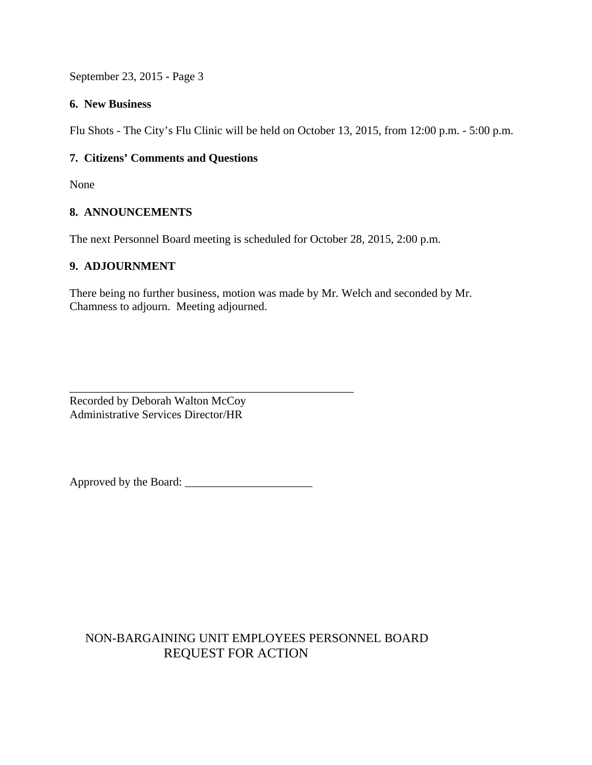September 23, 2015 - Page 3

#### **6. New Business**

Flu Shots - The City's Flu Clinic will be held on October 13, 2015, from 12:00 p.m. - 5:00 p.m.

### **7. Citizens' Comments and Questions**

None

#### **8. ANNOUNCEMENTS**

The next Personnel Board meeting is scheduled for October 28, 2015, 2:00 p.m.

#### **9. ADJOURNMENT**

There being no further business, motion was made by Mr. Welch and seconded by Mr. Chamness to adjourn. Meeting adjourned.

Recorded by Deborah Walton McCoy Administrative Services Director/HR

Approved by the Board: \_\_\_\_\_\_\_\_\_\_\_\_\_\_\_\_\_\_\_\_\_\_

\_\_\_\_\_\_\_\_\_\_\_\_\_\_\_\_\_\_\_\_\_\_\_\_\_\_\_\_\_\_\_\_\_\_\_\_\_\_\_\_\_\_\_\_\_\_\_\_\_

# NON-BARGAINING UNIT EMPLOYEES PERSONNEL BOARD REQUEST FOR ACTION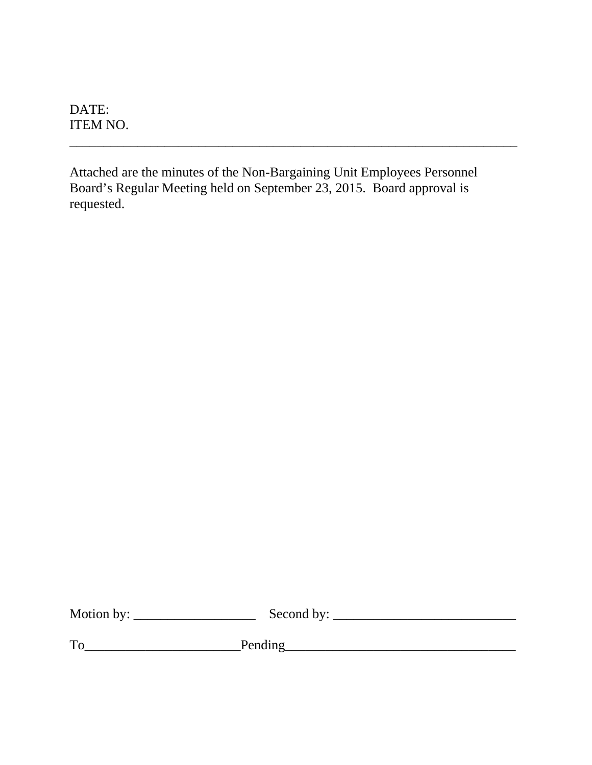DATE: ITEM NO.

Attached are the minutes of the Non-Bargaining Unit Employees Personnel Board's Regular Meeting held on September 23, 2015. Board approval is requested.

\_\_\_\_\_\_\_\_\_\_\_\_\_\_\_\_\_\_\_\_\_\_\_\_\_\_\_\_\_\_\_\_\_\_\_\_\_\_\_\_\_\_\_\_\_\_\_\_\_\_\_\_\_\_\_\_\_\_\_\_\_\_\_\_\_\_

| Motion by: | Second by: |
|------------|------------|
|            |            |

| _<br>- |  |
|--------|--|
|        |  |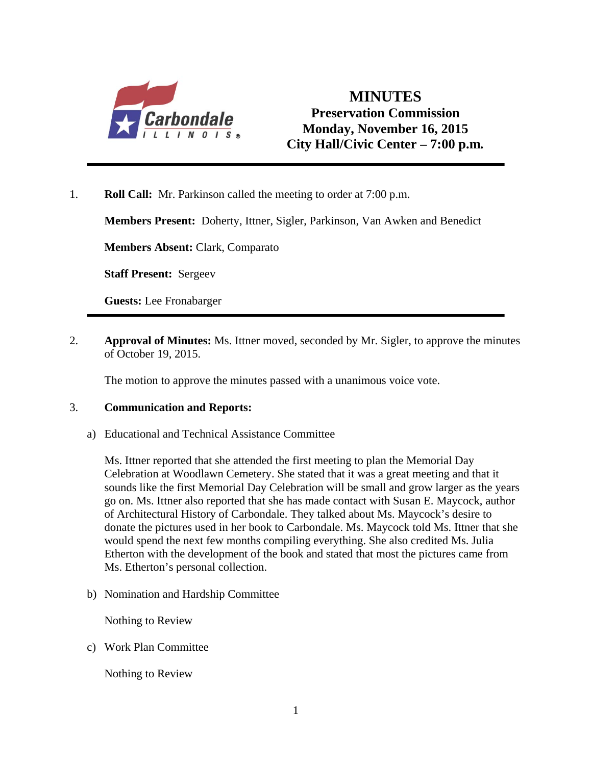

# **MINUTES Preservation Commission Monday, November 16, 2015 City Hall/Civic Center – 7:00 p.m***.*

1. **Roll Call:** Mr. Parkinson called the meeting to order at 7:00 p.m.

**Members Present:** Doherty, Ittner, Sigler, Parkinson, Van Awken and Benedict

**Members Absent:** Clark, Comparato

**Staff Present:** Sergeev

**Guests:** Lee Fronabarger

2. **Approval of Minutes:** Ms. Ittner moved, seconded by Mr. Sigler, to approve the minutes of October 19, 2015.

The motion to approve the minutes passed with a unanimous voice vote.

#### 3. **Communication and Reports:**

a) Educational and Technical Assistance Committee

Ms. Ittner reported that she attended the first meeting to plan the Memorial Day Celebration at Woodlawn Cemetery. She stated that it was a great meeting and that it sounds like the first Memorial Day Celebration will be small and grow larger as the years go on. Ms. Ittner also reported that she has made contact with Susan E. Maycock, author of Architectural History of Carbondale. They talked about Ms. Maycock's desire to donate the pictures used in her book to Carbondale. Ms. Maycock told Ms. Ittner that she would spend the next few months compiling everything. She also credited Ms. Julia Etherton with the development of the book and stated that most the pictures came from Ms. Etherton's personal collection.

b) Nomination and Hardship Committee

Nothing to Review

c) Work Plan Committee

Nothing to Review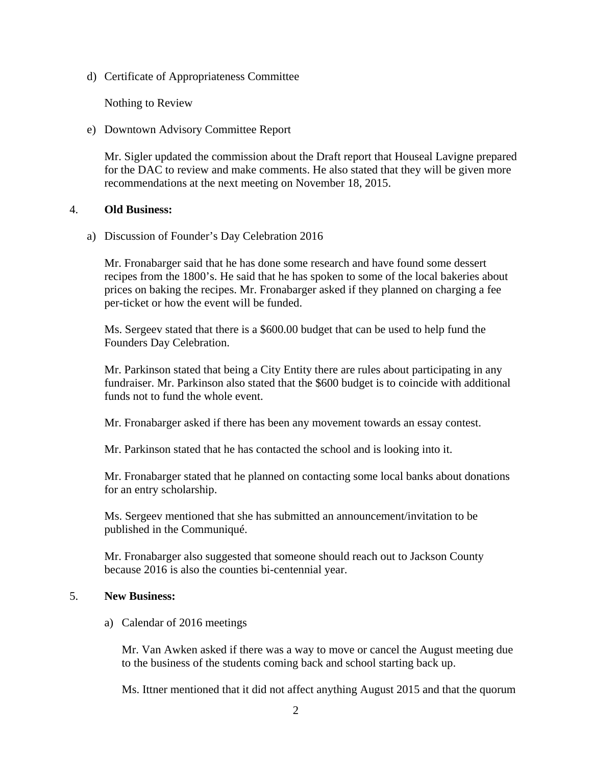d) Certificate of Appropriateness Committee

Nothing to Review

e) Downtown Advisory Committee Report

Mr. Sigler updated the commission about the Draft report that Houseal Lavigne prepared for the DAC to review and make comments. He also stated that they will be given more recommendations at the next meeting on November 18, 2015.

#### 4. **Old Business:**

a) Discussion of Founder's Day Celebration 2016

Mr. Fronabarger said that he has done some research and have found some dessert recipes from the 1800's. He said that he has spoken to some of the local bakeries about prices on baking the recipes. Mr. Fronabarger asked if they planned on charging a fee per-ticket or how the event will be funded.

Ms. Sergeev stated that there is a \$600.00 budget that can be used to help fund the Founders Day Celebration.

Mr. Parkinson stated that being a City Entity there are rules about participating in any fundraiser. Mr. Parkinson also stated that the \$600 budget is to coincide with additional funds not to fund the whole event.

Mr. Fronabarger asked if there has been any movement towards an essay contest.

Mr. Parkinson stated that he has contacted the school and is looking into it.

Mr. Fronabarger stated that he planned on contacting some local banks about donations for an entry scholarship.

Ms. Sergeev mentioned that she has submitted an announcement/invitation to be published in the Communiqué.

Mr. Fronabarger also suggested that someone should reach out to Jackson County because 2016 is also the counties bi-centennial year.

#### 5. **New Business:**

a) Calendar of 2016 meetings

Mr. Van Awken asked if there was a way to move or cancel the August meeting due to the business of the students coming back and school starting back up.

Ms. Ittner mentioned that it did not affect anything August 2015 and that the quorum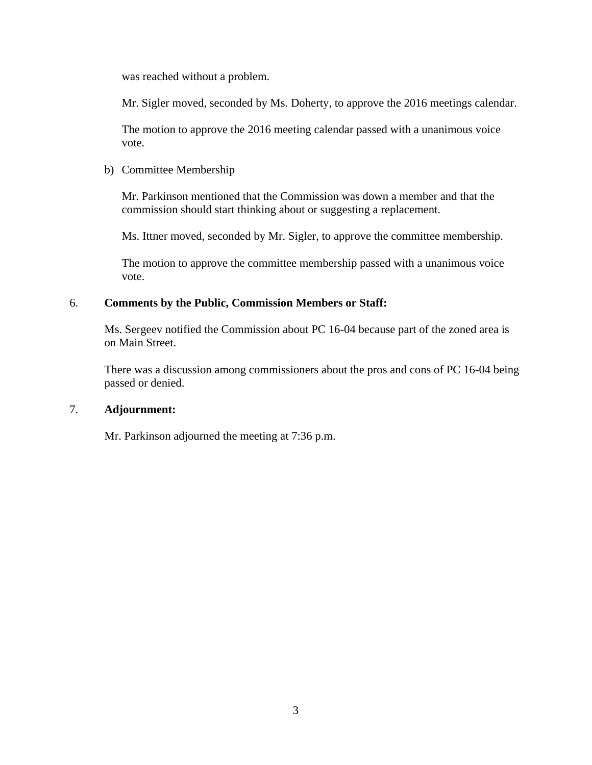was reached without a problem.

Mr. Sigler moved, seconded by Ms. Doherty, to approve the 2016 meetings calendar.

The motion to approve the 2016 meeting calendar passed with a unanimous voice vote.

#### b) Committee Membership

Mr. Parkinson mentioned that the Commission was down a member and that the commission should start thinking about or suggesting a replacement.

Ms. Ittner moved, seconded by Mr. Sigler, to approve the committee membership.

The motion to approve the committee membership passed with a unanimous voice vote.

#### 6. **Comments by the Public, Commission Members or Staff:**

Ms. Sergeev notified the Commission about PC 16-04 because part of the zoned area is on Main Street.

There was a discussion among commissioners about the pros and cons of PC 16-04 being passed or denied.

#### 7. **Adjournment:**

Mr. Parkinson adjourned the meeting at 7:36 p.m.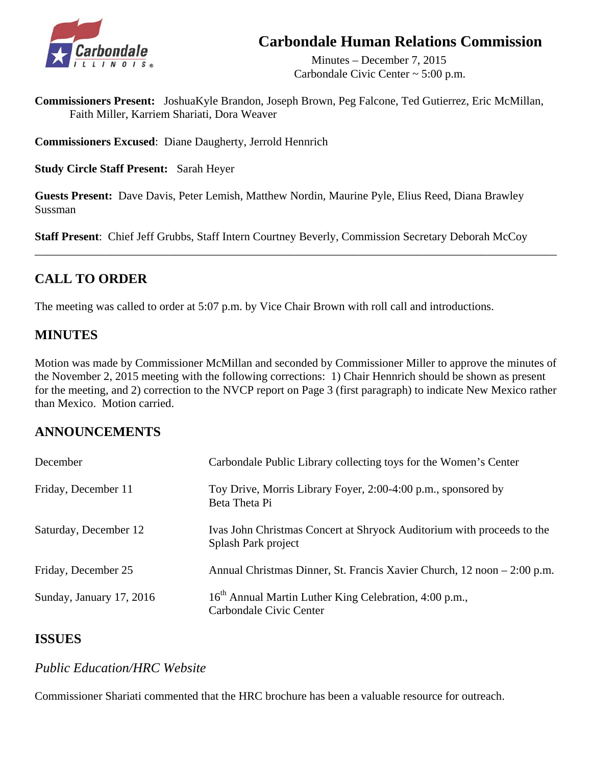# **Carbondale Human Relations Commission**



 Minutes – December 7, 2015 Carbondale Civic Center ~ 5:00 p.m.

**Commissioners Present:** JoshuaKyle Brandon, Joseph Brown, Peg Falcone, Ted Gutierrez, Eric McMillan, Faith Miller, Karriem Shariati, Dora Weaver

**Commissioners Excused**: Diane Daugherty, Jerrold Hennrich

**Study Circle Staff Present:** Sarah Heyer

**Guests Present:** Dave Davis, Peter Lemish, Matthew Nordin, Maurine Pyle, Elius Reed, Diana Brawley Sussman

**Staff Present**: Chief Jeff Grubbs, Staff Intern Courtney Beverly, Commission Secretary Deborah McCoy

\_\_\_\_\_\_\_\_\_\_\_\_\_\_\_\_\_\_\_\_\_\_\_\_\_\_\_\_\_\_\_\_\_\_\_\_\_\_\_\_\_\_\_\_\_\_\_\_\_\_\_\_\_\_\_\_\_\_\_\_\_\_\_\_\_\_\_\_\_\_\_\_\_\_\_\_\_\_\_\_\_\_\_\_\_\_\_\_\_\_

# **CALL TO ORDER**

The meeting was called to order at 5:07 p.m. by Vice Chair Brown with roll call and introductions.

# **MINUTES**

Motion was made by Commissioner McMillan and seconded by Commissioner Miller to approve the minutes of the November 2, 2015 meeting with the following corrections: 1) Chair Hennrich should be shown as present for the meeting, and 2) correction to the NVCP report on Page 3 (first paragraph) to indicate New Mexico rather than Mexico. Motion carried.

# **ANNOUNCEMENTS**

| December                 | Carbondale Public Library collecting toys for the Women's Center                              |
|--------------------------|-----------------------------------------------------------------------------------------------|
| Friday, December 11      | Toy Drive, Morris Library Foyer, 2:00-4:00 p.m., sponsored by<br>Beta Theta Pi                |
| Saturday, December 12    | Ivas John Christmas Concert at Shryock Auditorium with proceeds to the<br>Splash Park project |
| Friday, December 25      | Annual Christmas Dinner, St. Francis Xavier Church, 12 noon – 2:00 p.m.                       |
| Sunday, January 17, 2016 | 16 <sup>th</sup> Annual Martin Luther King Celebration, 4:00 p.m.,<br>Carbondale Civic Center |

# **ISSUES**

# *Public Education/HRC Website*

Commissioner Shariati commented that the HRC brochure has been a valuable resource for outreach.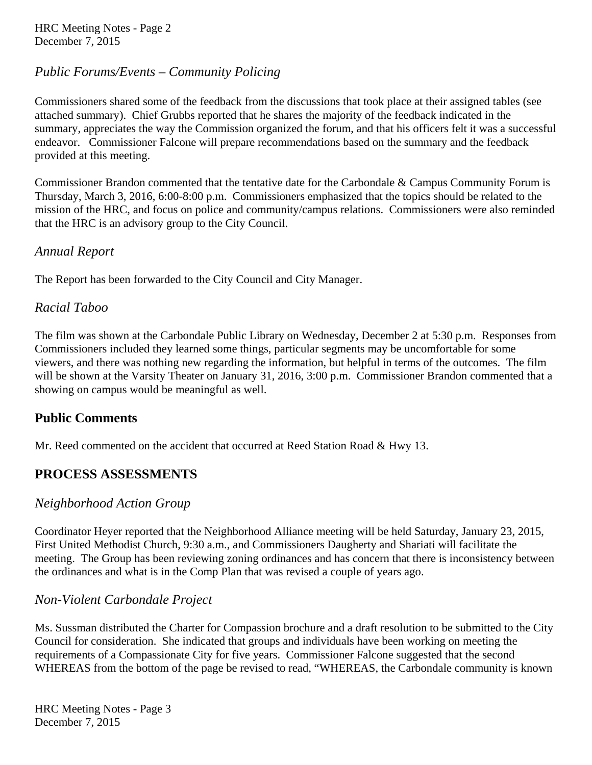HRC Meeting Notes - Page 2 December 7, 2015

## *Public Forums/Events – Community Policing*

Commissioners shared some of the feedback from the discussions that took place at their assigned tables (see attached summary). Chief Grubbs reported that he shares the majority of the feedback indicated in the summary, appreciates the way the Commission organized the forum, and that his officers felt it was a successful endeavor. Commissioner Falcone will prepare recommendations based on the summary and the feedback provided at this meeting.

Commissioner Brandon commented that the tentative date for the Carbondale & Campus Community Forum is Thursday, March 3, 2016, 6:00-8:00 p.m. Commissioners emphasized that the topics should be related to the mission of the HRC, and focus on police and community/campus relations. Commissioners were also reminded that the HRC is an advisory group to the City Council.

### *Annual Report*

The Report has been forwarded to the City Council and City Manager.

### *Racial Taboo*

 The film was shown at the Carbondale Public Library on Wednesday, December 2 at 5:30 p.m. Responses from Commissioners included they learned some things, particular segments may be uncomfortable for some viewers, and there was nothing new regarding the information, but helpful in terms of the outcomes. The film will be shown at the Varsity Theater on January 31, 2016, 3:00 p.m. Commissioner Brandon commented that a showing on campus would be meaningful as well.

### **Public Comments**

Mr. Reed commented on the accident that occurred at Reed Station Road & Hwy 13.

# **PROCESS ASSESSMENTS**

### *Neighborhood Action Group*

 Coordinator Heyer reported that the Neighborhood Alliance meeting will be held Saturday, January 23, 2015, First United Methodist Church, 9:30 a.m., and Commissioners Daugherty and Shariati will facilitate the meeting. The Group has been reviewing zoning ordinances and has concern that there is inconsistency between the ordinances and what is in the Comp Plan that was revised a couple of years ago.

### *Non-Violent Carbondale Project*

 Ms. Sussman distributed the Charter for Compassion brochure and a draft resolution to be submitted to the City Council for consideration. She indicated that groups and individuals have been working on meeting the requirements of a Compassionate City for five years. Commissioner Falcone suggested that the second WHEREAS from the bottom of the page be revised to read, "WHEREAS, the Carbondale community is known

 HRC Meeting Notes - Page 3 December 7, 2015